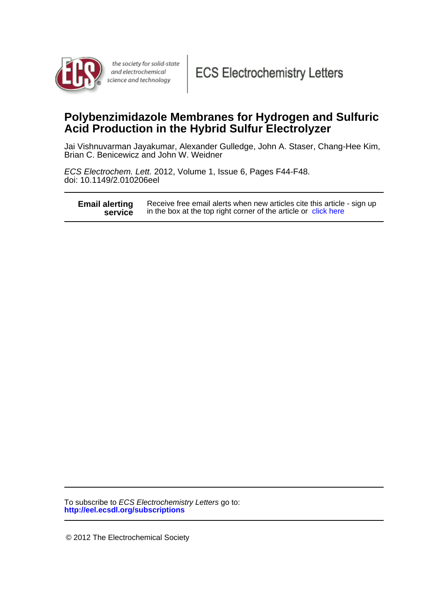

the society for solid-state and electrochemical science and technology

# **Acid Production in the Hybrid Sulfur Electrolyzer Polybenzimidazole Membranes for Hydrogen and Sulfuric**

Brian C. Benicewicz and John W. Weidner Jai Vishnuvarman Jayakumar, Alexander Gulledge, John A. Staser, Chang-Hee Kim,

doi: 10.1149/2.010206eel ECS Electrochem. Lett. 2012, Volume 1, Issue 6, Pages F44-F48.

| <b>Email alerting</b> | Receive free email alerts when new articles cite this article - sign up |
|-----------------------|-------------------------------------------------------------------------|
| service               | in the box at the top right corner of the article or click here         |

**http://eel.ecsdl.org/subscriptions** To subscribe to ECS Electrochemistry Letters go to:

© 2012 The Electrochemical Society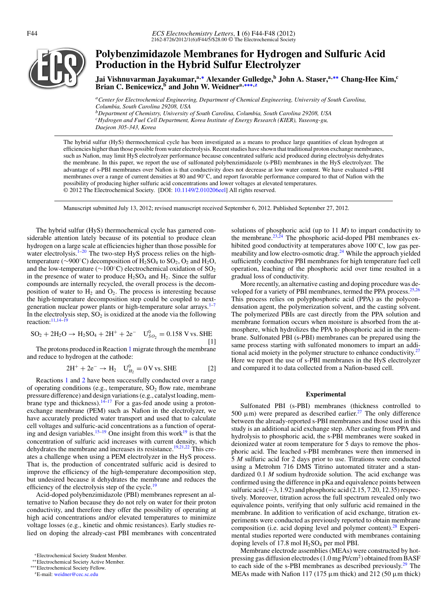

## **Polybenzimidazole Membranes for Hydrogen and Sulfuric Acid Production in the Hybrid Sulfur Electrolyzer**

**Jai Vishnuvarman Jayakumar,a,[∗](#page-1-0) Alexander Gulledge,<sup>b</sup> John A. Staser,a,[∗∗](#page-1-1) Chang-Hee Kim,<sup>c</sup> Brian C. Benicewicz,<sup>b</sup> and John W. Weidnera,[∗∗∗](#page-1-2)[,z](#page-1-3)**

*aCenter for Electrochemical Engineering, Department of Chemical Engineering, University of South Carolina, Columbia, South Carolina 29208, USA*

*bDepartment of Chemistry, University of South Carolina, Columbia, South Carolina 29208, USA cHydrogen and Fuel Cell Department, Korea Institute of Energy Research (KIER), Yuseong-gu,*

*Daejeon 305-343, Korea*

The hybrid sulfur (HyS) thermochemical cycle has been investigated as a means to produce large quantities of clean hydrogen at efficiencies higher than those possible from water electrolysis. Recent studies have shown that traditional proton exchange membranes, such as Nafion, may limit HyS electrolyzer performance because concentrated sulfuric acid produced during electrolysis dehydrates the membrane. In this paper, we report the use of sulfonated polybenzimidazole (s-PBI) membranes in the HyS electrolyzer. The advantage of s-PBI membranes over Nafion is that conductivity does not decrease at low water content. We have evaluated s-PBI membranes over a range of current densities at 80 and 90◦C, and report favorable performance compared to that of Nafion with the possibility of producing higher sulfuric acid concentrations and lower voltages at elevated temperatures. © 2012 The Electrochemical Society. [DOI: [10.1149/2.010206eel\]](http://dx.doi.org/10.1149/2.010206eel) All rights reserved.

Manuscript submitted July 13, 2012; revised manuscript received September 6, 2012. Published September 27, 2012.

The hybrid sulfur (HyS) thermochemical cycle has garnered considerable attention lately because of its potential to produce clean hydrogen on a large scale at efficiencies higher than those possible for water electrolysis.<sup>1-[20](#page-5-1)</sup> The two-step HyS process relies on the hightemperature ( $\sim$ 900°C) decomposition of H<sub>2</sub>SO<sub>4</sub> to SO<sub>2</sub>, O<sub>2</sub> and H<sub>2</sub>O, and the low-temperature (∼100◦C) electrochemical oxidation of SO2 in the presence of water to produce  $H_2SO_4$  and  $H_2$ . Since the sulfur compounds are internally recycled, the overall process is the decomposition of water to  $H_2$  and  $O_2$ . The process is interesting because the high-temperature decomposition step could be coupled to next-generation nuclear power plants or high-temperature solar arrays.<sup>1-[7](#page-5-2)</sup> In the electrolysis step,  $SO_2$  is oxidized at the anode via the following reaction:<sup>11[,14–](#page-5-4)[19](#page-5-5)</sup>

<span id="page-1-4"></span>
$$
SO_2 + 2H_2O \rightarrow H_2SO_4 + 2H^+ + 2e^ U_{SO_2}^0 = 0.158
$$
 V vs. SHE [1]

The protons produced in Reaction [1](#page-1-4) migrate through the membrane and reduce to hydrogen at the cathode:

<span id="page-1-5"></span>
$$
2H^{+} + 2e^{-} \rightarrow H_{2} \quad U_{H_{2}}^{0} = 0 \text{ V vs. SHE}
$$
 [2]

Reactions [1](#page-1-4) and [2](#page-1-5) have been successfully conducted over a range of operating conditions (e.g., temperature,  $SO<sub>2</sub>$  flow rate, membrane pressure difference) and design variations (e.g., catalyst loading, mem-brane type and thickness).<sup>14[–17](#page-5-6)</sup> For a gas-fed anode using a protonexchange membrane (PEM) such as Nafion in the electrolyzer, we have accurately predicted water transport and used that to calculate cell voltages and sulfuric-acid concentrations as a function of operat-ing and design variables.<sup>15–[19](#page-5-5)</sup> One insight from this work<sup>19</sup> is that the concentration of sulfuric acid increases with current density, which dehydrates the membrane and increases its resistance.<sup>19[,21](#page-5-8)[,22](#page-5-9)</sup> This creates a challenge when using a PEM electrolyzer in the HyS process. That is, the production of concentrated sulfuric acid is desired to improve the efficiency of the high-temperature decomposition step, but undesired because it dehydrates the membrane and reduces the efficiency of the electrolysis step of the cycle.<sup>19</sup>

Acid-doped polybenzimidazole (PBI) membranes represent an alternative to Nafion because they do not rely on water for their proton conductivity, and therefore they offer the possibility of operating at high acid concentrations and/or elevated temperatures to minimize voltage losses (e.g., kinetic and ohmic resistances). Early studies relied on doping the already-cast PBI membranes with concentrated solutions of phosphoric acid (up to 11 *M*) to impart conductivity to the membrane. $23,24$  $23,24$  The phosphoric acid-doped PBI membranes exhibited good conductivity at temperatures above 100℃, low gas per-meability and low electro-osmotic drag.<sup>[24](#page-5-11)</sup> While the approach yielded sufficiently conductive PBI membranes for high temperature fuel cell operation, leaching of the phosphoric acid over time resulted in a gradual loss of conductivity.

More recently, an alternative casting and doping procedure was de-veloped for a variety of PBI membranes, termed the PPA process.<sup>25,[26](#page-5-13)</sup> This process relies on polyphosphoric acid (PPA) as the polycondensation agent, the polymerization solvent, and the casting solvent. The polymerized PBIs are cast directly from the PPA solution and membrane formation occurs when moisture is absorbed from the atmosphere, which hydrolizes the PPA to phosphoric acid in the membrane. Sulfonated PBI (s-PBI) membranes can be prepared using the same process starting with sulfonated monomers to impart an additional acid moiety in the polymer structure to enhance conductivity.<sup>27</sup> Here we report the use of s-PBI membranes in the HyS electrolyzer and compared it to data collected from a Nafion-based cell.

#### **Experimental**

Sulfonated PBI (s-PBI) membranes (thickness controlled to 500  $\mu$ m) were prepared as described earlier.<sup>27</sup> The only difference between the already-reported s-PBI membranes and those used in this study is an additional acid exchange step. After casting from PPA and hydrolysis to phosphoric acid, the s-PBI membranes were soaked in deionized water at room temperature for 5 days to remove the phosphoric acid. The leached s-PBI membranes were then immersed in 5 *M* sulfuric acid for 2 days prior to use. Titrations were conducted using a Metrohm 716 DMS Titrino automated titrater and a standardized 0.1 *M* sodium hydroxide solution. The acid exchange was confirmed using the difference in pKa and equivalence points between sulfuric acid  $(-3, 1.92)$  and phosphoric acid  $(2.15, 7.20, 12.35)$  respectively. Moreover, titration across the full spectrum revealed only two equivalence points, verifying that only sulfuric acid remained in the membrane. In addition to verification of acid exchange, titration experiments were conducted as previously reported to obtain membrane composition (i.e. acid doping level and polymer content).<sup>[28](#page-5-15)</sup> Experimental studies reported were conducted with membranes containing doping levels of 17.8 mol  $H<sub>2</sub>SO<sub>4</sub>$  per mol PBI.

Membrane electrode assemblies (MEAs) were constructed by hotpressing gas diffusion electrodes (1.0 mg Pt/cm2) obtained from BASF to each side of the s-PBI membranes as described previously.<sup>29</sup> The MEAs made with Nafion 117 (175  $\mu$ m thick) and 212 (50  $\mu$ m thick)

<span id="page-1-0"></span><sup>∗</sup>Electrochemical Society Student Member.

<span id="page-1-1"></span><sup>∗∗</sup>Electrochemical Society Active Member.

<span id="page-1-3"></span><span id="page-1-2"></span><sup>∗∗∗</sup>Electrochemical Society Fellow.

zE-mail: [weidner@cec.sc.edu](mailto:weidner@cec.sc.edu)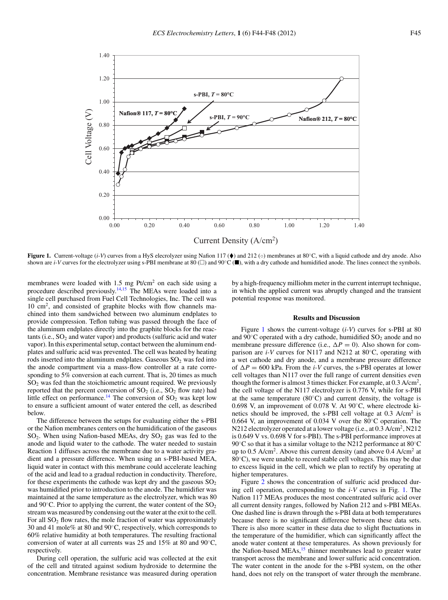<span id="page-2-0"></span>

**Figure 1.** Current-voltage (*i-V*) curves from a HyS elecrolyzer using Nafion 117 (♦) and 212 (○) membranes at 80°C, with a liquid cathode and dry anode. Also shown are *i-V* curves for the electrolyzer using s-PBI membrane at 80 ( $\Box$ ) and 90°C ( $\blacksquare$ ), with a dry cathode and humidified anode. The lines connect the symbols.

membranes were loaded with 1.5 mg Pt/cm<sup>2</sup> on each side using a procedure described previously.<sup>14,[15](#page-5-7)</sup> The MEAs were loaded into a single cell purchased from Fuel Cell Technologies, Inc. The cell was 10 cm2, and consisted of graphite blocks with flow channels machined into them sandwiched between two aluminum endplates to provide compression. Teflon tubing was passed through the face of the aluminum endplates directly into the graphite blocks for the reac $tants$  (i.e.,  $SO<sub>2</sub>$  and water vapor) and products (sulfuric acid and water vapor). In this experimental setup, contact between the aluminum endplates and sulfuric acid was prevented. The cell was heated by heating rods inserted into the aluminum endplates. Gaseous  $SO<sub>2</sub>$  was fed into the anode compartment via a mass-flow controller at a rate corresponding to 5% conversion at each current. That is, 20 times as much  $SO<sub>2</sub>$  was fed than the stoichiometric amount required. We previously reported that the percent conversion of  $SO_2$  (i.e.,  $SO_2$  flow rate) had little effect on performance.<sup>[14](#page-5-4)</sup> The conversion of  $SO_2$  was kept low to ensure a sufficient amount of water entered the cell, as described below.

The difference between the setups for evaluating either the s-PBI or the Nafion membranes centers on the humidification of the gaseous  $SO_2$ . When using Nafion-based MEAs, dry  $SO_2$  gas was fed to the anode and liquid water to the cathode. The water needed to sustain Reaction 1 diffuses across the membrane due to a water activity gradient and a pressure difference. When using an s-PBI-based MEA, liquid water in contact with this membrane could accelerate leaching of the acid and lead to a gradual reduction in conductivity. Therefore, for these experiments the cathode was kept dry and the gaseous  $SO<sub>2</sub>$ was humidified prior to introduction to the anode. The humidifier was maintained at the same temperature as the electrolyzer, which was 80 and 90 $\degree$ C. Prior to applying the current, the water content of the SO<sub>2</sub> stream was measured by condensing out the water at the exit to the cell. For all  $SO<sub>2</sub>$  flow rates, the mole fraction of water was approximately 30 and 41 mole% at 80 and 90◦C, respectively, which corresponds to 60% relative humidity at both temperatures. The resulting fractional conversion of water at all currents was 25 and 15% at 80 and 90◦C, respectively.

During cell operation, the sulfuric acid was collected at the exit of the cell and titrated against sodium hydroxide to determine the concentration. Membrane resistance was measured during operation

by a high-frequency milliohm meter in the current interrupt technique, in which the applied current was abruptly changed and the transient potential response was monitored.

#### **Results and Discussion**

Figure [1](#page-2-0) shows the current-voltage (*i-V*) curves for s-PBI at 80 and  $90^{\circ}$ C operated with a dry cathode, humidified  $SO_2$  anode and no membrane pressure difference (i.e.,  $\Delta P = 0$ ). Also shown for comparison are *i-V* curves for N117 and N212 at 80◦C, operating with a wet cathode and dry anode, and a membrane pressure difference of  $\Delta P = 600$  kPa. From the *i-V* curves, the s-PBI operates at lower cell voltages than N117 over the full range of current densities even though the former is almost 3 times thicker. For example, at 0.3 A/cm2, the cell voltage of the N117 electrolyzer is 0.776 V, while for s-PBI at the same temperature  $(80^{\circ}C)$  and current density, the voltage is 0.698 V, an improvement of 0.078 V. At 90◦C, where electrode kinetics should be improved, the s-PBI cell voltage at  $0.3$  A/cm<sup>2</sup> is 0.664 V, an improvement of 0.034 V over the 80◦C operation. The N212 electrolyzer operated at a lower voltage (i.e., at 0.3 A/cm<sup>2</sup>, N212 is 0.649 V vs. 0.698 V for s-PBI). The s-PBI performance improves at 90℃ so that it has a similar voltage to the N212 performance at 80℃ up to 0.5 A/cm<sup>2</sup>. Above this current density (and above  $0.4$  A/cm<sup>2</sup> at 80◦C), we were unable to record stable cell voltages. This may be due to excess liquid in the cell, which we plan to rectify by operating at higher temperatures.

Figure [2](#page-3-0) shows the concentration of sulfuric acid produced during cell operation, corresponding to the *i-V* curves in Fig. [1.](#page-2-0) The Nafion 117 MEAs produces the most concentrated sulfuric acid over all current density ranges, followed by Nafion 212 and s-PBI MEAs. One dashed line is drawn through the s-PBI data at both temperatures because there is no significant difference between these data sets. There is also more scatter in these data due to slight fluctuations in the temperature of the humidifier, which can significantly affect the anode water content at these temperatures. As shown previously for the Nafion-based MEAs,<sup>15</sup> thinner membranes lead to greater water transport across the membrane and lower sulfuric acid concentration. The water content in the anode for the s-PBI system, on the other hand, does not rely on the transport of water through the membrane.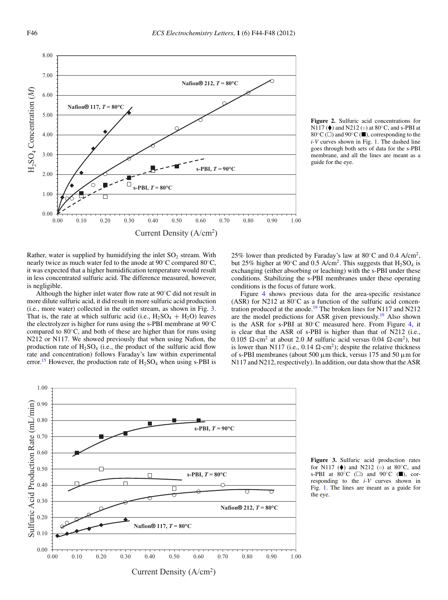<span id="page-3-0"></span>

**Figure 2.** Sulfuric acid concentrations for N117 ( $\blacklozenge$ ) and N212 ( $\circ$ ) at 80 $\degree$ C, and s-PBI at 80 $°C$  ( $\Box$ ) and 90 $°C$  ( $\Box$ ), corresponding to the *i-V* curves shown in Fig. [1.](#page-2-0) The dashed line goes through both sets of data for the s-PBI membrane, and all the lines are meant as a guide for the eye.

Rather, water is supplied by humidifying the inlet  $SO<sub>2</sub>$  stream. With nearly twice as much water fed to the anode at 90◦C compared 80◦C, it was expected that a higher humidification temperature would result in less concentrated sulfuric acid. The difference measured, however, is negligible.

Although the higher inlet water flow rate at 90◦C did not result in more dilute sulfuric acid, it did result in more sulfuric acid production (i.e., more water) collected in the outlet stream, as shown in Fig. [3.](#page-3-1) That is, the rate at which sulfuric acid (i.e.,  $H_2SO_4 + H_2O$ ) leaves the electrolyzer is higher for runs using the s-PBI membrane at  $90^{\circ}$ C compared to  $80^{\circ}$ C, and both of these are higher than for runs using N212 or N117. We showed previously that when using Nafion, the production rate of  $H_2SO_4$  (i.e., the product of the sulfuric acid flow rate and concentration) follows Faraday's law within experimental error.<sup>15</sup> However, the production rate of  $H_2SO_4$  when using s-PBI is

25% lower than predicted by Faraday's law at  $80^{\circ}$ C and 0.4 A/cm<sup>2</sup>, but 25% higher at 90°C and 0.5 A/cm<sup>2</sup>. This suggests that  $H_2SO_4$  is exchanging (either absorbing or leaching) with the s-PBI under these conditions. Stabilizing the s-PBI membranes under these operating conditions is the focus of future work.

Figure [4](#page-4-0) shows previous data for the area-specific resistance (ASR) for N212 at 80◦C as a function of the sulfuric acid concentration produced at the anode.<sup>19</sup> The broken lines for N117 and N212 are the model predictions for ASR given previously.<sup>19</sup> Also shown is the ASR for s-PBI at 80◦C measured here. From Figure [4,](#page-4-0) it is clear that the ASR of s-PBI is higher than that of N212 (i.e.,  $0.105$   $\Omega$ -cm<sup>2</sup> at about 2.0 *M* sulfuric acid versus 0.04  $\Omega$ -cm<sup>2</sup>), but is lower than N117 (i.e., 0.14  $\Omega$ -cm<sup>2</sup>); despite the relative thickness of s-PBI membranes (about 500  $\mu$ m thick, versus 175 and 50  $\mu$ m for N117 and N212, respectively). In addition, our data show that the ASR

<span id="page-3-1"></span>

**Figure 3.** Sulfuric acid production rates for N117 ( $\bullet$ ) and N212 (⊙) at 80°C, and s-PBI at  $80^{\circ}$ C ( $\square$ ) and  $90^{\circ}$ C ( $\square$ ), corresponding to the *i-V* curves shown in Fig. [1.](#page-2-0) The lines are meant as a guide for the eye.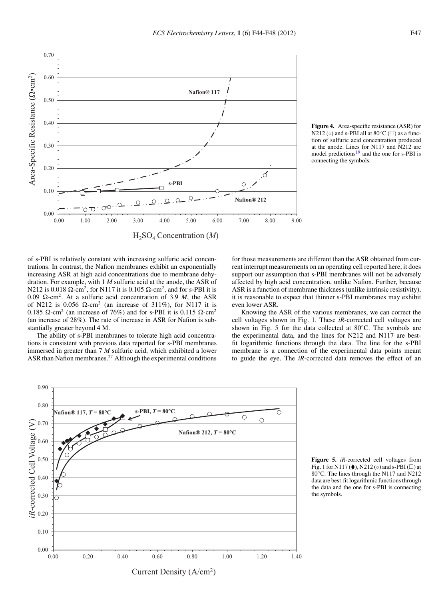**Nafion® 117**

**Nafion® 212**

 $\overline{C}$ 

C

of s-PBI is relatively constant with increasing sulfuric acid concentrations. In contrast, the Nafion membranes exhibit an exponentially increasing ASR at high acid concentrations due to membrane dehydration. For example, with 1 *M* sulfuric acid at the anode, the ASR of N212 is 0.018  $\Omega$ -cm<sup>2</sup>, for N117 it is 0.105  $\Omega$ -cm<sup>2</sup>, and for s-PBI it is  $0.09$   $\Omega$ -cm<sup>2</sup>. At a sulfuric acid concentration of 3.9 *M*, the ASR of N212 is 0.056  $\Omega$ -cm<sup>2</sup> (an increase of 311%), for N117 it is 0.185  $\Omega$ -cm<sup>2</sup> (an increase of 76%) and for s-PBI it is 0.115  $\Omega$ -cm<sup>2</sup> (an increase of 28%). The rate of increase in ASR for Nafion is substantially greater beyond 4 M.

 $-0.00$ <br>0.00

ಗ Õ

0.10

0.20

0.30

0.40

Area-Specific Resistance ( $\Omega$ •cm<sup>2</sup>)

Area-Specific Resistance (2•cm<sup>2</sup>)

0.50

0.60

<span id="page-4-0"></span>0.70

The ability of s-PBI membranes to tolerate high acid concentrations is consistent with previous data reported for s-PBI membranes immersed in greater than 7 *M* sulfuric acid, which exhibited a lower ASR than Nafion membranes.<sup>27</sup> Although the experimental conditions

**Figure 4.** Area-specific resistance (ASR) for N212 ( $\circ$ ) and s-PBI all at 80°C ( $\Box$ ) as a function of sulfuric acid concentration produced at the anode. Lines for N117 and N212 are model predictions<sup>19</sup> and the one for s-PBI is connecting the symbols.

for those measurements are different than the ASR obtained from current interrupt measurements on an operating cell reported here, it does support our assumption that s-PBI membranes will not be adversely affected by high acid concentration, unlike Nafion. Further, because ASR is a function of membrane thickness (unlike intrinsic resistivity), it is reasonable to expect that thinner s-PBI membranes may exhibit even lower ASR.

Knowing the ASR of the various membranes, we can correct the cell voltages shown in Fig. [1.](#page-2-0) These *iR*-corrected cell voltages are shown in Fig. [5](#page-4-1) for the data collected at  $80^{\circ}$ C. The symbols are the experimental data, and the lines for N212 and N117 are bestfit logarithmic functions through the data. The line for the s-PBI membrane is a connection of the experimental data points meant to guide the eye. The *iR*-corrected data removes the effect of an

**Figure 5.** *iR*-corrected cell voltages from Fig. [1](#page-2-0) for N117 ( $\blacklozenge$ ), N212 ( $\circ$ ) and s-PBI ( $\square$ ) at 80◦C. The lines through the N117 and N212 data are best-fit logarithmic functions through the data and the one for s-PBI is connecting the symbols.

<span id="page-4-1"></span>

Current Density (A/cm2)

0.00 1.00 2.00 3.00 4.00 5.00 6.00 7.00 8.00 9.00

**s-PBI**

H2SO4 Concentration (*M*)